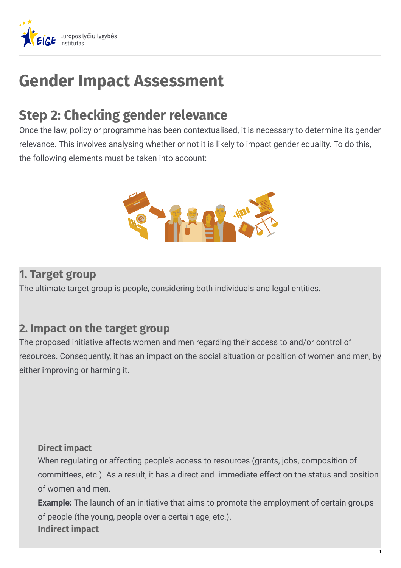

# **Gender Impact Assessment**

## **Step 2: Checking gender relevance**

Once the law, policy or programme has been contextualised, it is necessary to determine its gender relevance. This involves analysing whether or not it is likely to impact gender equality. To do this, the following elements must be taken into account:



#### **1. Target group**

The ultimate target group is people, considering both individuals and legal entities.

### **2. Impact on the target group**

The proposed initiative affects women and men regarding their access to and/or control of resources. Consequently, it has an impact on the social situation or position of women and men, by either improving or harming it.

#### **Direct impact**

When regulating or affecting people's access to resources (grants, jobs, composition of committees, etc.). As a result, it has a direct and immediate effect on the status and position of women and men.

**Example:** The launch of an initiative that aims to promote the employment of certain groups of people (the young, people over a certain age, etc.). **Indirect impact**